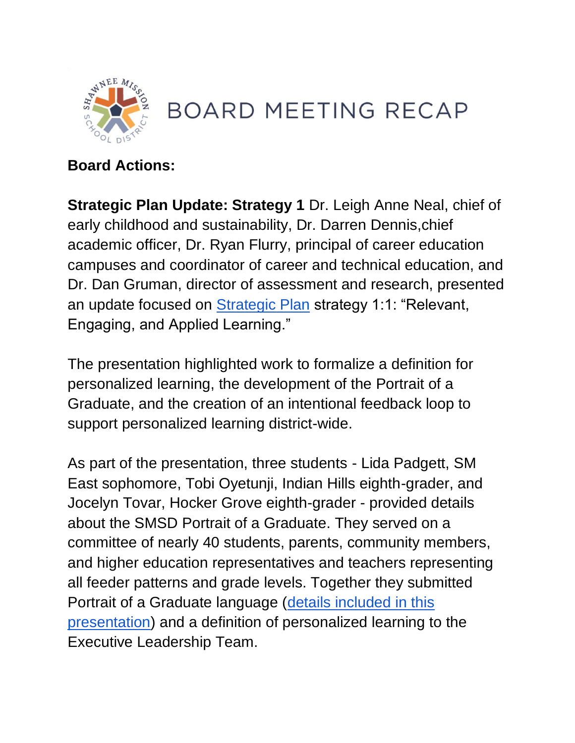

## **BOARD MEETING RECAP**

## **Board Actions:**

**Strategic Plan Update: Strategy 1** Dr. Leigh Anne Neal, chief of early childhood and sustainability, Dr. Darren Dennis,chief academic officer, Dr. Ryan Flurry, principal of career education campuses and coordinator of career and technical education, and Dr. Dan Gruman, director of assessment and research, presented an update focused on [Strategic Plan](https://resources.finalsite.net/images/v1562087946/smsdorg/zgyrvwk7odhpe0mji8n9/StrategicPlan2019-2024.pdf) strategy 1:1: "Relevant, Engaging, and Applied Learning."

The presentation highlighted work to formalize a definition for personalized learning, the development of the Portrait of a Graduate, and the creation of an intentional feedback loop to support personalized learning district-wide.

As part of the presentation, three students - Lida Padgett, SM East sophomore, Tobi Oyetunji, Indian Hills eighth-grader, and Jocelyn Tovar, Hocker Grove eighth-grader - provided details about the SMSD Portrait of a Graduate. They served on a committee of nearly 40 students, parents, community members, and higher education representatives and teachers representing all feeder patterns and grade levels. Together they submitted Portrait of a Graduate language [\(details included in this](https://go.boarddocs.com/ks/smsd/Board.nsf/files/C5MKV95389A7/$file/Board%20Meeting%202021_August%209.pdf)  [presentation\)](https://go.boarddocs.com/ks/smsd/Board.nsf/files/C5MKV95389A7/$file/Board%20Meeting%202021_August%209.pdf) and a definition of personalized learning to the Executive Leadership Team.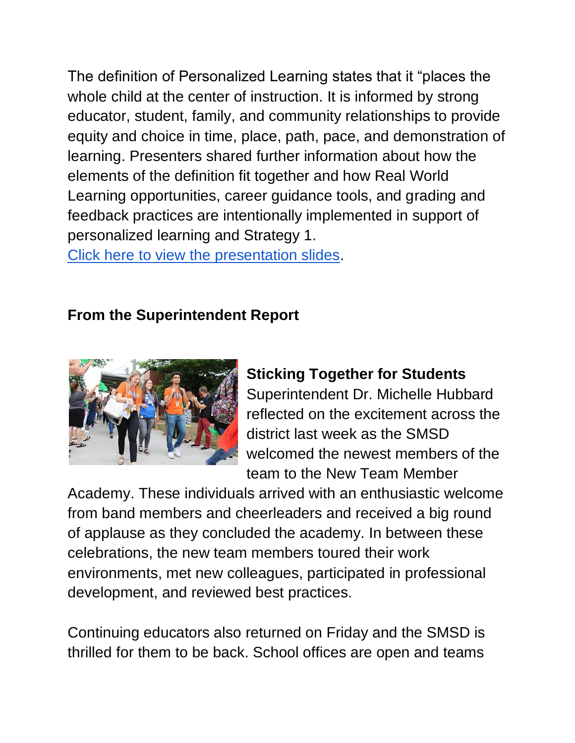The definition of Personalized Learning states that it "places the whole child at the center of instruction. It is informed by strong educator, student, family, and community relationships to provide equity and choice in time, place, path, pace, and demonstration of learning. Presenters shared further information about how the elements of the definition fit together and how Real World Learning opportunities, career guidance tools, and grading and feedback practices are intentionally implemented in support of personalized learning and Strategy 1.

Click here to view [the presentation slides.](https://go.boarddocs.com/ks/smsd/Board.nsf/files/C5MKV95389A7/$file/Board%20Meeting%202021_August%209.pdf)

## **From the Superintendent Report**



## **Sticking Together for Students**

Superintendent Dr. Michelle Hubbard reflected on the excitement across the district last week as the SMSD welcomed the newest members of the team to the New Team Member

Academy. These individuals arrived with an enthusiastic welcome from band members and cheerleaders and received a big round of applause as they concluded the academy. In between these celebrations, the new team members toured their work environments, met new colleagues, participated in professional development, and reviewed best practices.

Continuing educators also returned on Friday and the SMSD is thrilled for them to be back. School offices are open and teams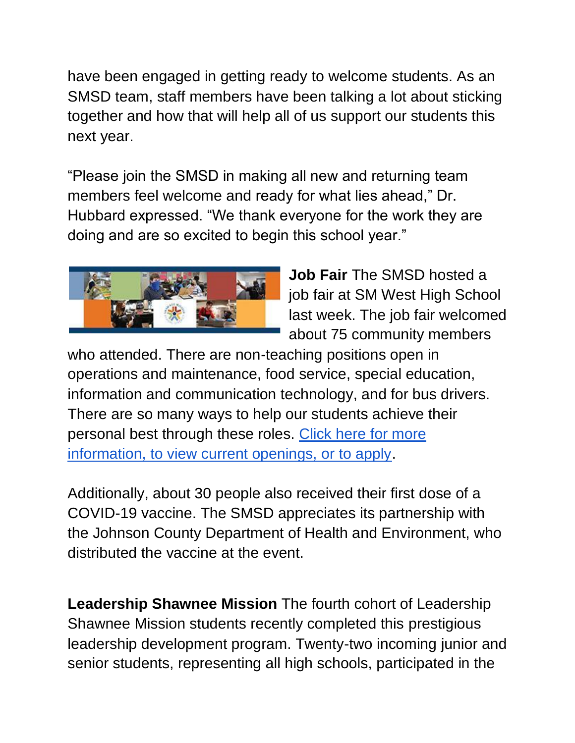have been engaged in getting ready to welcome students. As an SMSD team, staff members have been talking a lot about sticking together and how that will help all of us support our students this next year.

"Please join the SMSD in making all new and returning team members feel welcome and ready for what lies ahead," Dr. Hubbard expressed. "We thank everyone for the work they are doing and are so excited to begin this school year."



**Job Fair** The SMSD hosted a job fair at SM West High School last week. The job fair welcomed about 75 community members

who attended. There are non-teaching positions open in operations and maintenance, food service, special education, information and communication technology, and for bus drivers. There are so many ways to help our students achieve their personal best through these roles. [Click here for more](https://www.smsd.org/human-resources/job-opportunities)  [information, to view current openings, or to apply.](https://www.smsd.org/human-resources/job-opportunities)

Additionally, about 30 people also received their first dose of a COVID-19 vaccine. The SMSD appreciates its partnership with the Johnson County Department of Health and Environment, who distributed the vaccine at the event.

**Leadership Shawnee Mission** The fourth cohort of Leadership Shawnee Mission students recently completed this prestigious leadership development program. Twenty-two incoming junior and senior students, representing all high schools, participated in the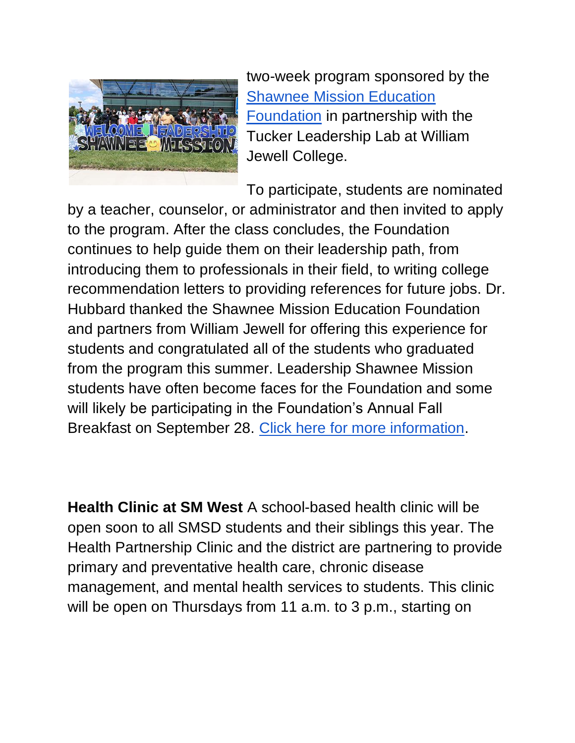

two-week program sponsored by the [Shawnee Mission Education](https://www.smef.org/s/1485/17/start.aspx)  [Foundation](https://www.smef.org/s/1485/17/start.aspx) in partnership with the Tucker Leadership Lab at William Jewell College.

To participate, students are nominated

by a teacher, counselor, or administrator and then invited to apply to the program. After the class concludes, the Foundation continues to help guide them on their leadership path, from introducing them to professionals in their field, to writing college recommendation letters to providing references for future jobs. Dr. Hubbard thanked the Shawnee Mission Education Foundation and partners from William Jewell for offering this experience for students and congratulated all of the students who graduated from the program this summer. Leadership Shawnee Mission students have often become faces for the Foundation and some will likely be participating in the Foundation's Annual Fall Breakfast on September 28. [Click here for more information.](https://www.smef.org/s/1485/17/index.aspx?sid=1485&gid=1&pgid=761)

**Health Clinic at SM West** A school-based health clinic will be open soon to all SMSD students and their siblings this year. The Health Partnership Clinic and the district are partnering to provide primary and preventative health care, chronic disease management, and mental health services to students. This clinic will be open on Thursdays from 11 a.m. to 3 p.m., starting on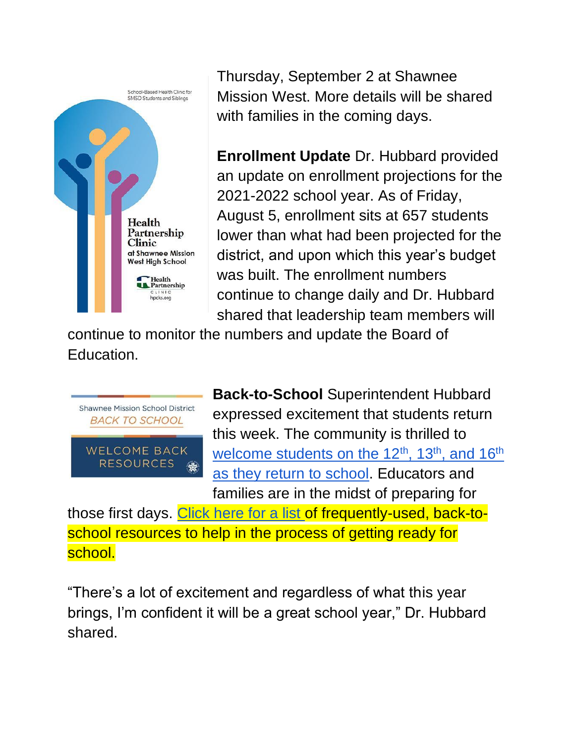

Thursday, September 2 at Shawnee Mission West. More details will be shared with families in the coming days.

**Enrollment Update** Dr. Hubbard provided an update on enrollment projections for the 2021-2022 school year. As of Friday, August 5, enrollment sits at 657 students lower than what had been projected for the district, and upon which this year's budget was built. The enrollment numbers continue to change daily and Dr. Hubbard shared that leadership team members will

continue to monitor the numbers and update the Board of Education.



**Back-to-School** Superintendent Hubbard expressed excitement that students return this week. The community is thrilled to welcome students on [th](https://www.smsd.org/calendar)e  $12<sup>th</sup>$ ,  $13<sup>th</sup>$ , and  $16<sup>th</sup>$ [as they return to school.](https://www.smsd.org/calendar) Educators and families are in the midst of preparing for

those first days. [Click here for a list o](https://www.smsd.org/information-central/welcome-back-2021)f frequently-used, back-toschool resources to help in the process of getting ready for school.

"There's a lot of excitement and regardless of what this year brings, I'm confident it will be a great school year," Dr. Hubbard shared.